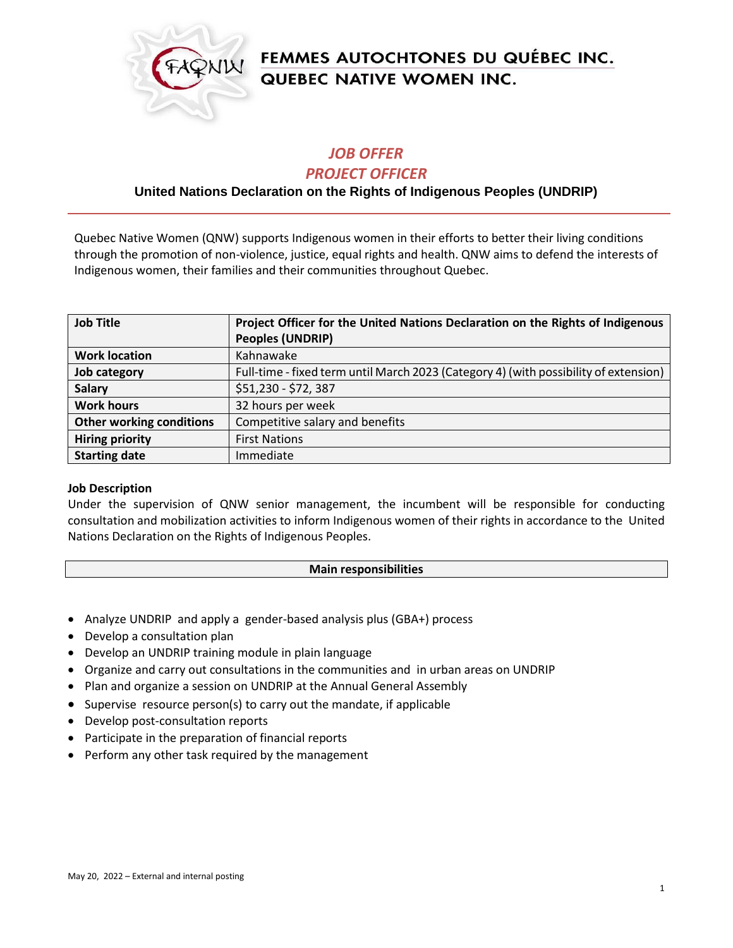

# FEMMES AUTOCHTONES DU QUÉBEC INC. QUEBEC NATIVE WOMEN INC.

## *JOB OFFER*

#### *PROJECT OFFICER*

### **United Nations Declaration on the Rights of Indigenous Peoples (UNDRIP)**

Quebec Native Women (QNW) supports Indigenous women in their efforts to better their living conditions through the promotion of non-violence, justice, equal rights and health. QNW aims to defend the interests of Indigenous women, their families and their communities throughout Quebec.

| <b>Job Title</b>                | Project Officer for the United Nations Declaration on the Rights of Indigenous       |
|---------------------------------|--------------------------------------------------------------------------------------|
|                                 | <b>Peoples (UNDRIP)</b>                                                              |
| <b>Work location</b>            | Kahnawake                                                                            |
| Job category                    | Full-time - fixed term until March 2023 (Category 4) (with possibility of extension) |
| <b>Salary</b>                   | \$51,230 - \$72,387                                                                  |
| <b>Work hours</b>               | 32 hours per week                                                                    |
| <b>Other working conditions</b> | Competitive salary and benefits                                                      |
| <b>Hiring priority</b>          | <b>First Nations</b>                                                                 |
| <b>Starting date</b>            | Immediate                                                                            |

#### **Job Description**

Under the supervision of QNW senior management, the incumbent will be responsible for conducting consultation and mobilization activities to inform Indigenous women of their rights in accordance to the United Nations Declaration on the Rights of Indigenous Peoples.

#### **Main responsibilities**

- Analyze UNDRIP and apply a gender-based analysis plus (GBA+) process
- Develop a consultation plan
- Develop an UNDRIP training module in plain language
- Organize and carry out consultations in the communities and in urban areas on UNDRIP
- Plan and organize a session on UNDRIP at the Annual General Assembly
- Supervise resource person(s) to carry out the mandate, if applicable
- Develop post-consultation reports
- Participate in the preparation of financial reports
- Perform any other task required by the management